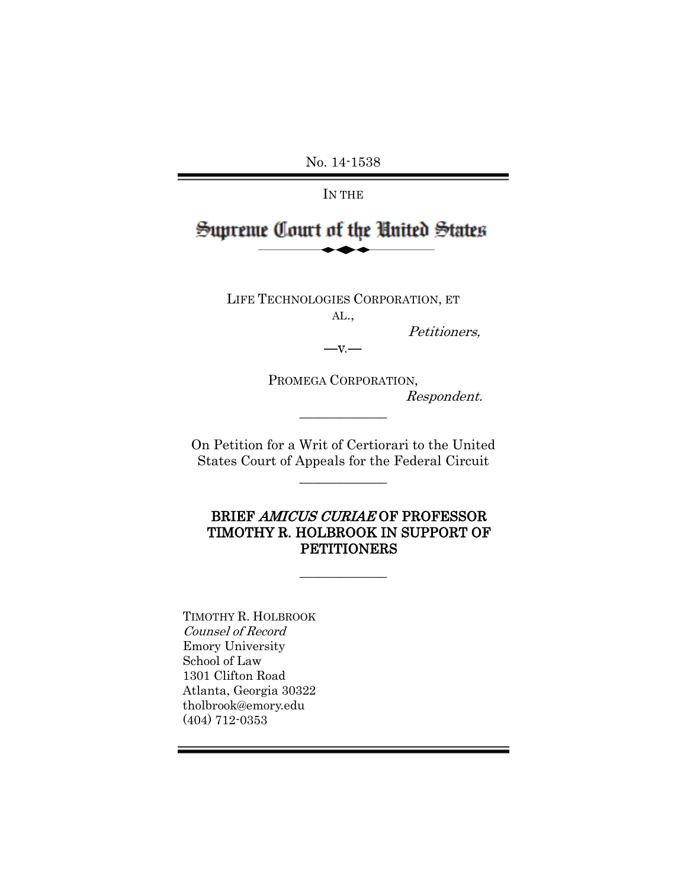No. 14-1538

IN THE

# Supreme Court of the United States

LIFE TECHNOLOGIES CORPORATION, ET AL.,

 $-V.$ 

Petitioners,

PROMEGA CORPORATION, Respondent.

On Petition for a Writ of Certiorari to the United States Court of Appeals for the Federal Circuit

 $\frac{1}{2}$ 

 $\frac{1}{2}$ 

### BRIEF AMICUS CURIAE OF PROFESSOR TIMOTHY R. HOLBROOK IN SUPPORT OF **PETITIONERS**

 $\frac{1}{2}$ 

TIMOTHY R. HOLBROOK Counsel of Record Emory University School of Law 1301 Clifton Road Atlanta, Georgia 30322 tholbrook@emory.edu (404) 712-0353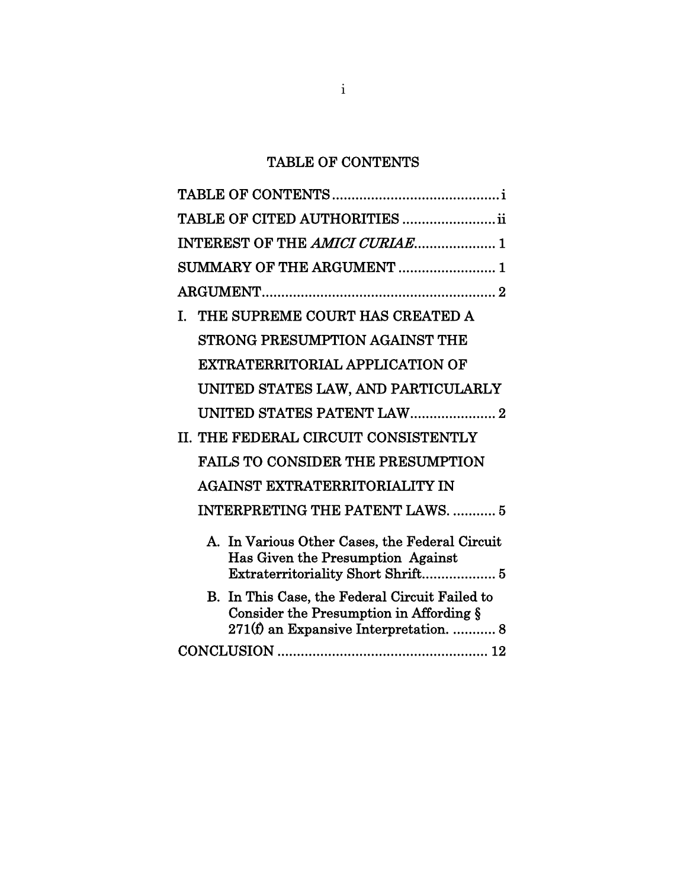### TABLE OF CONTENTS

| TABLE OF CITED AUTHORITIES ii                                                                                                          |  |  |  |  |  |  |
|----------------------------------------------------------------------------------------------------------------------------------------|--|--|--|--|--|--|
| INTEREST OF THE AMICI CURIAE 1                                                                                                         |  |  |  |  |  |  |
| <b>SUMMARY OF THE ARGUMENT  1</b>                                                                                                      |  |  |  |  |  |  |
|                                                                                                                                        |  |  |  |  |  |  |
| THE SUPREME COURT HAS CREATED A<br>L                                                                                                   |  |  |  |  |  |  |
| STRONG PRESUMPTION AGAINST THE                                                                                                         |  |  |  |  |  |  |
| EXTRATERRITORIAL APPLICATION OF                                                                                                        |  |  |  |  |  |  |
| UNITED STATES LAW, AND PARTICULARLY                                                                                                    |  |  |  |  |  |  |
| UNITED STATES PATENT LAW 2                                                                                                             |  |  |  |  |  |  |
| II. THE FEDERAL CIRCUIT CONSISTENTLY                                                                                                   |  |  |  |  |  |  |
| <b>FAILS TO CONSIDER THE PRESUMPTION</b>                                                                                               |  |  |  |  |  |  |
| <b>AGAINST EXTRATERRITORIALITY IN</b>                                                                                                  |  |  |  |  |  |  |
| <b>INTERPRETING THE PATENT LAWS.  5</b>                                                                                                |  |  |  |  |  |  |
| A. In Various Other Cases, the Federal Circuit<br>Has Given the Presumption Against<br>Extraterritoriality Short Shrift 5              |  |  |  |  |  |  |
| In This Case, the Federal Circuit Failed to<br>В.<br>Consider the Presumption in Affording §<br>271(f) an Expansive Interpretation.  8 |  |  |  |  |  |  |
|                                                                                                                                        |  |  |  |  |  |  |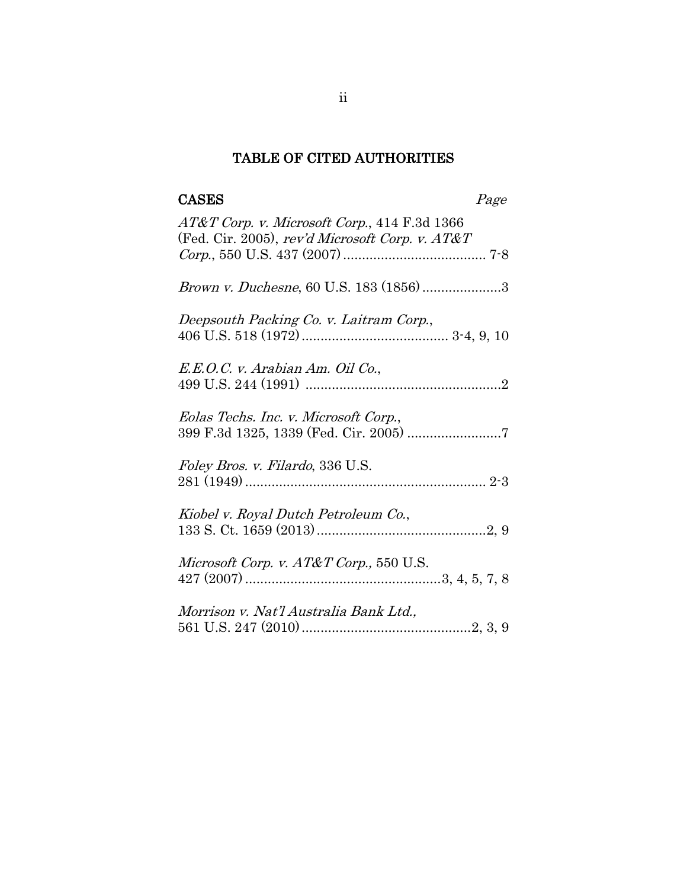# TABLE OF CITED AUTHORITIES

| <b>CASES</b><br>Page                                                                              |
|---------------------------------------------------------------------------------------------------|
| $AT&T$ Corp. v. Microsoft Corp., 414 F.3d 1366<br>(Fed. Cir. 2005), rev'd Microsoft Corp. v. AT&T |
| <i>Brown v. Duchesne,</i> 60 U.S. 183 (1856)3                                                     |
| Deepsouth Packing Co. v. Laitram Corp.,                                                           |
| E.E.O.C. v. Arabian Am. Oil Co.,                                                                  |
| Eolas Techs. Inc. v. Microsoft Corp.,                                                             |
| Foley Bros. v. Filardo, 336 U.S.                                                                  |
| Kiobel v. Royal Dutch Petroleum Co.,                                                              |
| Microsoft Corp. v. AT&T Corp., 550 U.S.                                                           |
| Morrison v. Nat'l Australia Bank Ltd.,                                                            |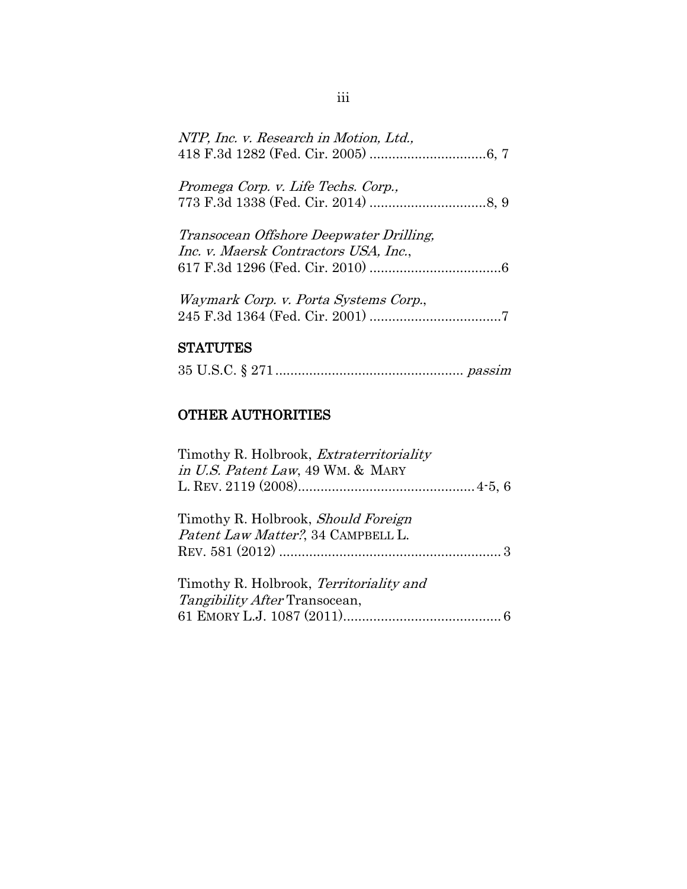| NTP, Inc. v. Research in Motion, Ltd.,                                           |  |
|----------------------------------------------------------------------------------|--|
| Promega Corp. v. Life Techs. Corp.,                                              |  |
| Transocean Offshore Deepwater Drilling,<br>Inc. v. Maersk Contractors USA, Inc., |  |
| Waymark Corp. v. Porta Systems Corp.,                                            |  |
| <b>STATUTES</b>                                                                  |  |

# OTHER AUTHORITIES

| Timothy R. Holbrook, <i>Extraterritoriality</i> |
|-------------------------------------------------|
| in U.S. Patent Law, 49 WM. & MARY               |
|                                                 |
|                                                 |
| Timothy R. Holbrook, <i>Should Foreign</i>      |
| Patent Law Matter?, 34 CAMPBELL L.              |
|                                                 |
|                                                 |

| Timothy R. Holbrook, Territoriality and |  |
|-----------------------------------------|--|
| <i>Tangibility After</i> Transocean,    |  |
|                                         |  |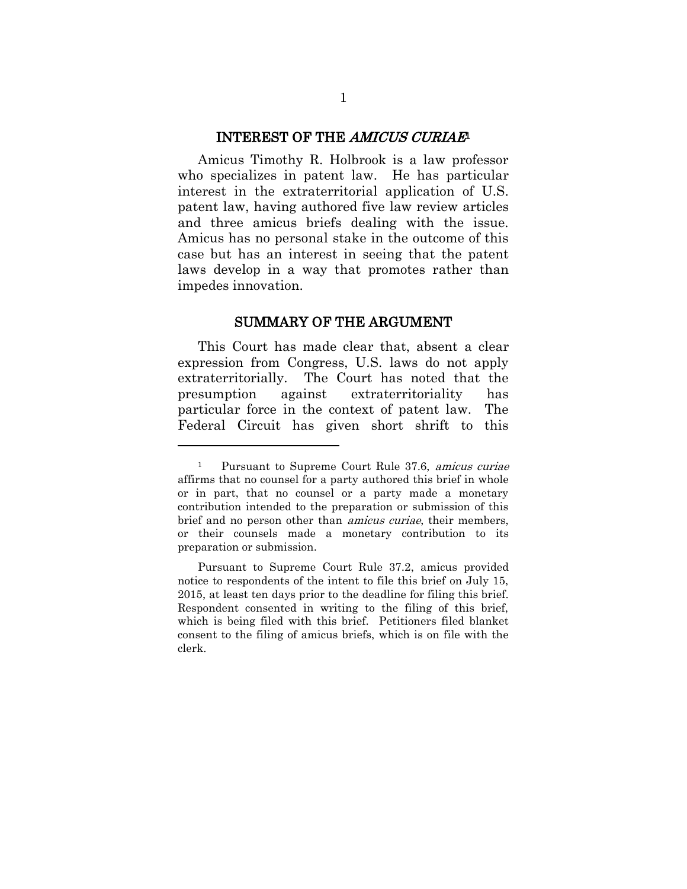#### INTEREST OF THE AMICUS CURIAE<sup>1</sup>

Amicus Timothy R. Holbrook is a law professor who specializes in patent law. He has particular interest in the extraterritorial application of U.S. patent law, having authored five law review articles and three amicus briefs dealing with the issue. Amicus has no personal stake in the outcome of this case but has an interest in seeing that the patent laws develop in a way that promotes rather than impedes innovation.

#### SUMMARY OF THE ARGUMENT

This Court has made clear that, absent a clear expression from Congress, U.S. laws do not apply extraterritorially. The Court has noted that the presumption against extraterritoriality has particular force in the context of patent law. The Federal Circuit has given short shrift to this

<sup>1</sup> Pursuant to Supreme Court Rule 37.6, amicus curiae affirms that no counsel for a party authored this brief in whole or in part, that no counsel or a party made a monetary contribution intended to the preparation or submission of this brief and no person other than *amicus curiae*, their members, or their counsels made a monetary contribution to its preparation or submission.

Pursuant to Supreme Court Rule 37.2, amicus provided notice to respondents of the intent to file this brief on July 15, 2015, at least ten days prior to the deadline for filing this brief. Respondent consented in writing to the filing of this brief, which is being filed with this brief. Petitioners filed blanket consent to the filing of amicus briefs, which is on file with the clerk.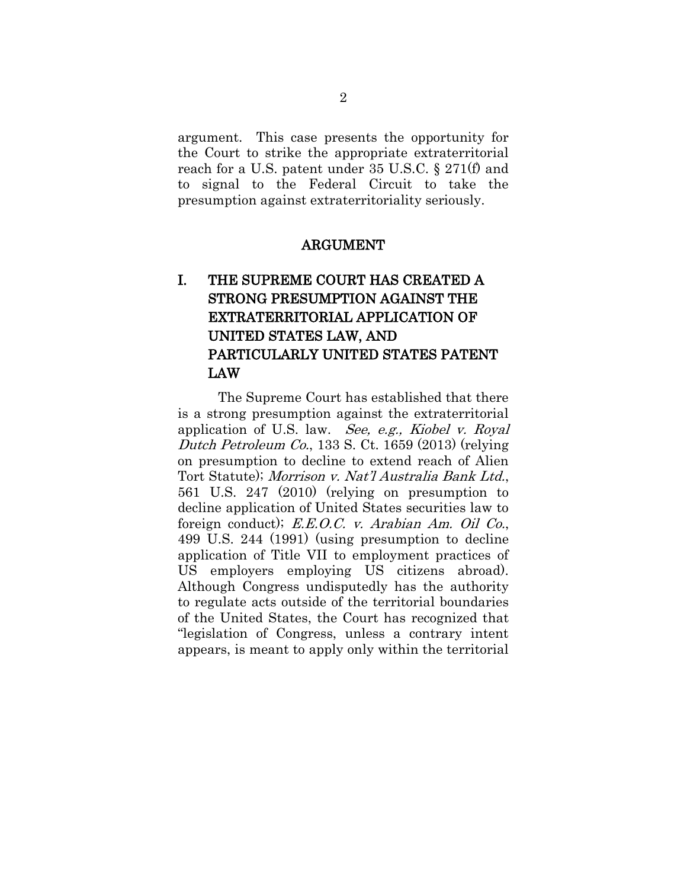argument. This case presents the opportunity for the Court to strike the appropriate extraterritorial reach for a U.S. patent under 35 U.S.C. § 271(f) and to signal to the Federal Circuit to take the presumption against extraterritoriality seriously.

#### ARGUMENT

# I. THE SUPREME COURT HAS CREATED A STRONG PRESUMPTION AGAINST THE EXTRATERRITORIAL APPLICATION OF UNITED STATES LAW, AND PARTICULARLY UNITED STATES PATENT LAW

The Supreme Court has established that there is a strong presumption against the extraterritorial application of U.S. law. See, e.g., Kiobel v. Royal Dutch Petroleum Co., 133 S. Ct. 1659 (2013) (relying on presumption to decline to extend reach of Alien Tort Statute); Morrison v. Nat'l Australia Bank Ltd., 561 U.S. 247 (2010) (relying on presumption to decline application of United States securities law to foreign conduct); E.E.O.C. v. Arabian Am. Oil Co., 499 U.S. 244 (1991) (using presumption to decline application of Title VII to employment practices of US employers employing US citizens abroad). Although Congress undisputedly has the authority to regulate acts outside of the territorial boundaries of the United States, the Court has recognized that "legislation of Congress, unless a contrary intent appears, is meant to apply only within the territorial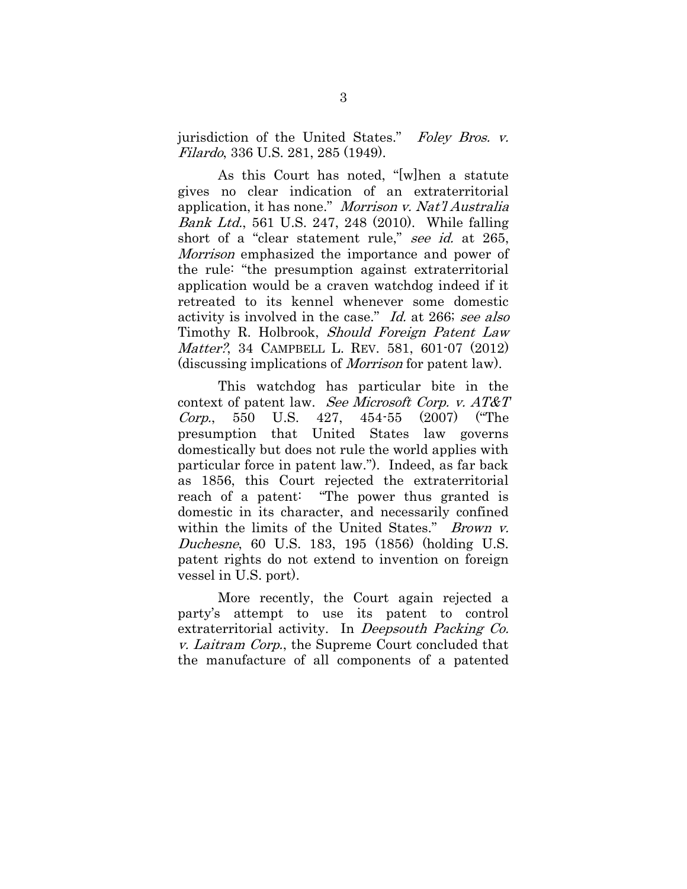jurisdiction of the United States." Foley Bros. v. Filardo, 336 U.S. 281, 285 (1949).

As this Court has noted, "[w]hen a statute gives no clear indication of an extraterritorial application, it has none." Morrison v. Nat'l Australia Bank Ltd., 561 U.S. 247, 248 (2010). While falling short of a "clear statement rule," see id. at 265, Morrison emphasized the importance and power of the rule: "the presumption against extraterritorial application would be a craven watchdog indeed if it retreated to its kennel whenever some domestic activity is involved in the case." Id. at 266; see also Timothy R. Holbrook, Should Foreign Patent Law Matter?, 34 CAMPBELL L. REV. 581, 601-07 (2012) (discussing implications of Morrison for patent law).

This watchdog has particular bite in the context of patent law. See Microsoft Corp. v. AT&T Corp., 550 U.S. 427, 454-55 (2007) ("The presumption that United States law governs domestically but does not rule the world applies with particular force in patent law."). Indeed, as far back as 1856, this Court rejected the extraterritorial reach of a patent: "The power thus granted is domestic in its character, and necessarily confined within the limits of the United States." Brown v. Duchesne, 60 U.S. 183, 195 (1856) (holding U.S. patent rights do not extend to invention on foreign vessel in U.S. port).

More recently, the Court again rejected a party's attempt to use its patent to control extraterritorial activity. In *Deepsouth Packing Co.* v. Laitram Corp., the Supreme Court concluded that the manufacture of all components of a patented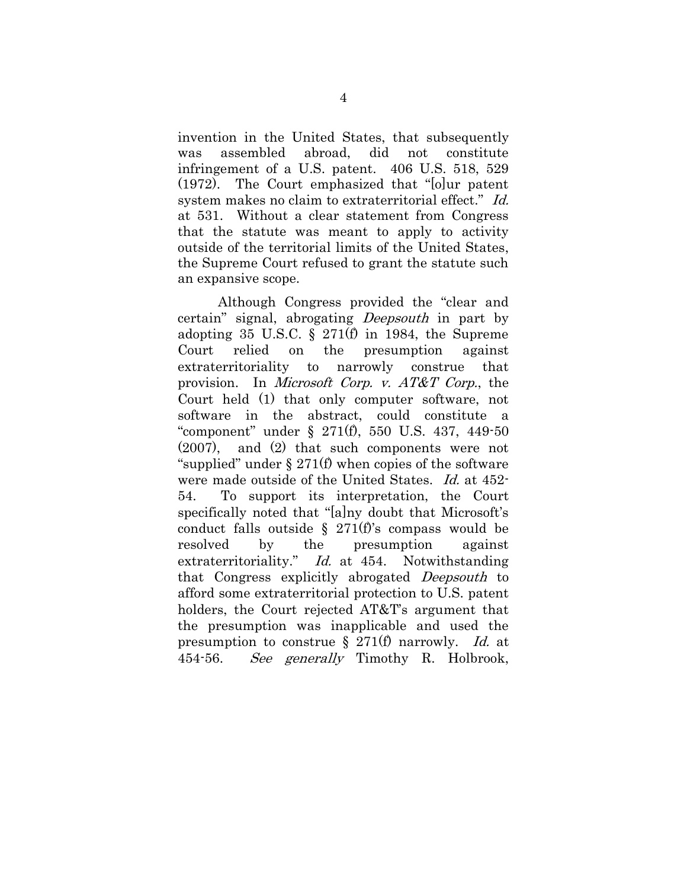invention in the United States, that subsequently was assembled abroad, did not constitute infringement of a U.S. patent. 406 U.S. 518, 529 (1972). The Court emphasized that "[o]ur patent system makes no claim to extraterritorial effect." Id. at 531. Without a clear statement from Congress that the statute was meant to apply to activity outside of the territorial limits of the United States, the Supreme Court refused to grant the statute such an expansive scope.

Although Congress provided the "clear and certain" signal, abrogating Deepsouth in part by adopting 35 U.S.C.  $\S$  271(f) in 1984, the Supreme Court relied on the presumption against extraterritoriality to narrowly construe that provision. In Microsoft Corp. v. AT&T Corp., the Court held (1) that only computer software, not software in the abstract, could constitute a "component" under § 271(f), 550 U.S. 437, 449-50 (2007), and (2) that such components were not "supplied" under  $\S 271(f)$  when copies of the software were made outside of the United States. Id. at 452-54. To support its interpretation, the Court specifically noted that "[a]ny doubt that Microsoft's conduct falls outside  $\S$  271(f)'s compass would be resolved by the presumption against extraterritoriality." Id. at 454. Notwithstanding that Congress explicitly abrogated Deepsouth to afford some extraterritorial protection to U.S. patent holders, the Court rejected AT&T's argument that the presumption was inapplicable and used the presumption to construe  $\S 271(f)$  narrowly. Id. at 454-56. See generally Timothy R. Holbrook,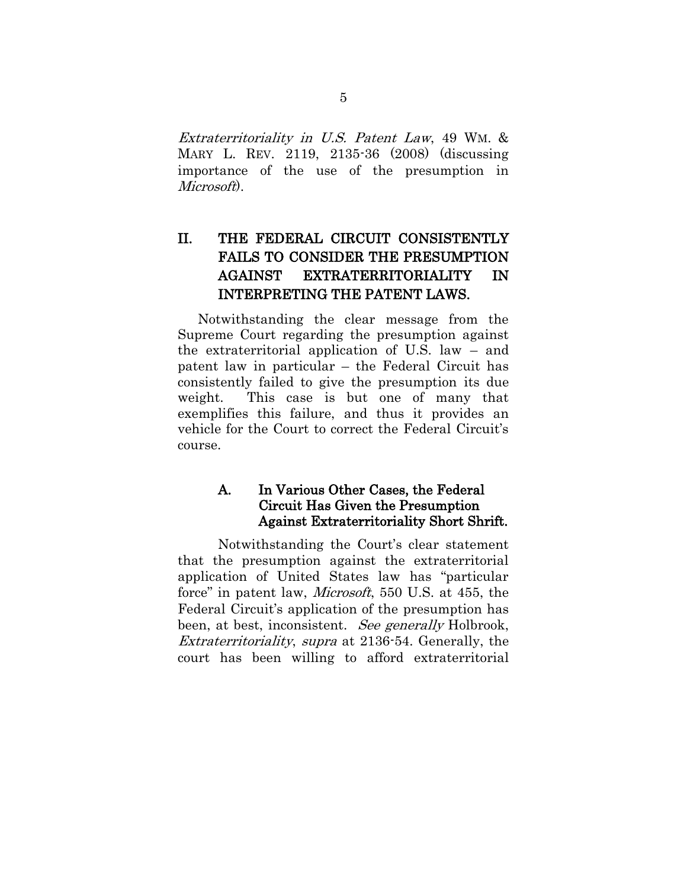Extraterritoriality in U.S. Patent Law, 49 WM. & MARY L. REV. 2119, 2135-36 (2008) (discussing importance of the use of the presumption in Microsoft).

# II. THE FEDERAL CIRCUIT CONSISTENTLY FAILS TO CONSIDER THE PRESUMPTION AGAINST EXTRATERRITORIALITY IN INTERPRETING THE PATENT LAWS.

Notwithstanding the clear message from the Supreme Court regarding the presumption against the extraterritorial application of U.S. law – and patent law in particular – the Federal Circuit has consistently failed to give the presumption its due weight. This case is but one of many that exemplifies this failure, and thus it provides an vehicle for the Court to correct the Federal Circuit's course.

### A. In Various Other Cases, the Federal Circuit Has Given the Presumption Against Extraterritoriality Short Shrift.

Notwithstanding the Court's clear statement that the presumption against the extraterritorial application of United States law has "particular force" in patent law, *Microsoft*, 550 U.S. at 455, the Federal Circuit's application of the presumption has been, at best, inconsistent. See generally Holbrook, Extraterritoriality, supra at 2136-54. Generally, the court has been willing to afford extraterritorial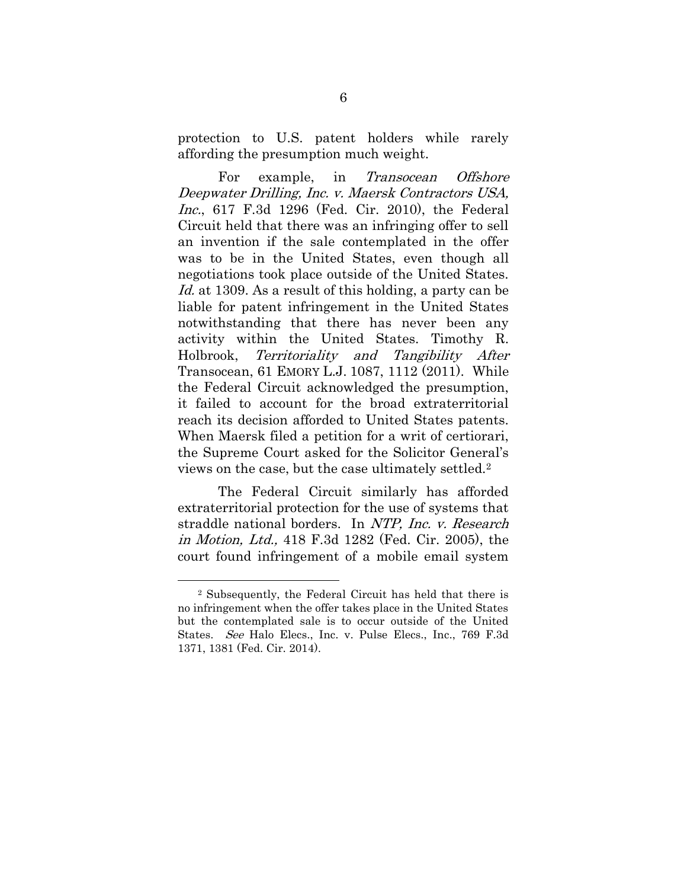protection to U.S. patent holders while rarely affording the presumption much weight.

For example, in *Transocean Offshore* Deepwater Drilling, Inc. v. Maersk Contractors USA, Inc., 617 F.3d 1296 (Fed. Cir. 2010), the Federal Circuit held that there was an infringing offer to sell an invention if the sale contemplated in the offer was to be in the United States, even though all negotiations took place outside of the United States. Id. at 1309. As a result of this holding, a party can be liable for patent infringement in the United States notwithstanding that there has never been any activity within the United States. Timothy R. Holbrook, Territoriality and Tangibility After Transocean, 61 EMORY L.J. 1087, 1112 (2011). While the Federal Circuit acknowledged the presumption, it failed to account for the broad extraterritorial reach its decision afforded to United States patents. When Maersk filed a petition for a writ of certiorari, the Supreme Court asked for the Solicitor General's views on the case, but the case ultimately settled.<sup>2</sup>

The Federal Circuit similarly has afforded extraterritorial protection for the use of systems that straddle national borders. In NTP, Inc. v. Research in Motion, Ltd., 418 F.3d 1282 (Fed. Cir. 2005), the court found infringement of a mobile email system

<sup>2</sup> Subsequently, the Federal Circuit has held that there is no infringement when the offer takes place in the United States but the contemplated sale is to occur outside of the United States. See Halo Elecs., Inc. v. Pulse Elecs., Inc., 769 F.3d 1371, 1381 (Fed. Cir. 2014).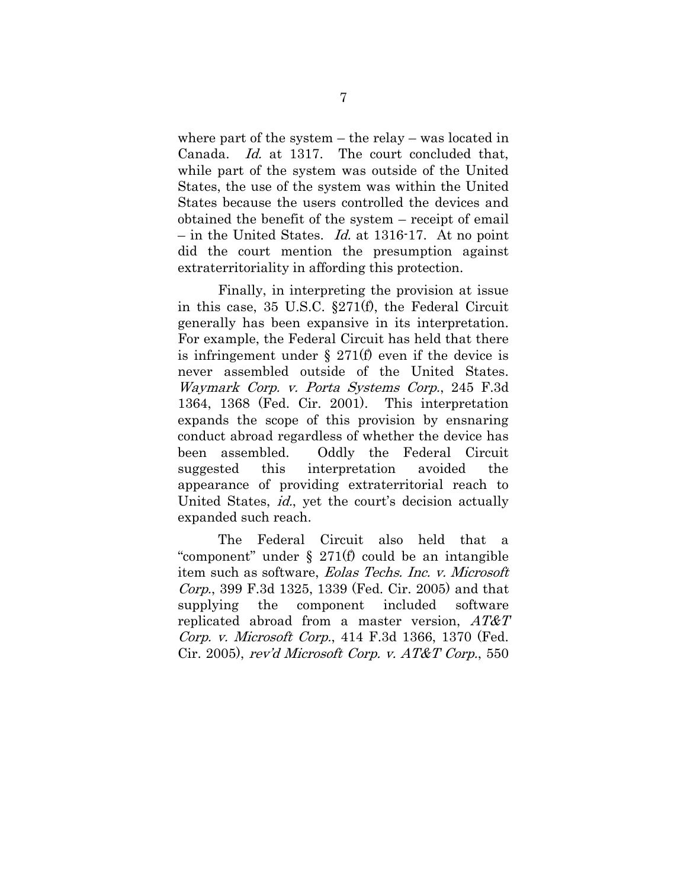where part of the system – the relay – was located in Canada. Id. at 1317. The court concluded that, while part of the system was outside of the United States, the use of the system was within the United States because the users controlled the devices and obtained the benefit of the system – receipt of email  $-$  in the United States. *Id.* at 1316-17. At no point did the court mention the presumption against extraterritoriality in affording this protection.

Finally, in interpreting the provision at issue in this case, 35 U.S.C. §271(f), the Federal Circuit generally has been expansive in its interpretation. For example, the Federal Circuit has held that there is infringement under  $\S 271(f)$  even if the device is never assembled outside of the United States. Waymark Corp. v. Porta Systems Corp., 245 F.3d 1364, 1368 (Fed. Cir. 2001). This interpretation expands the scope of this provision by ensnaring conduct abroad regardless of whether the device has been assembled. Oddly the Federal Circuit suggested this interpretation avoided the appearance of providing extraterritorial reach to United States, *id.*, yet the court's decision actually expanded such reach.

The Federal Circuit also held that a "component" under § 271(f) could be an intangible item such as software, Eolas Techs. Inc. v. Microsoft Corp., 399 F.3d 1325, 1339 (Fed. Cir. 2005) and that supplying the component included software replicated abroad from a master version, AT&T Corp. v. Microsoft Corp., 414 F.3d 1366, 1370 (Fed. Cir. 2005), rev'd Microsoft Corp. v. AT&T Corp., 550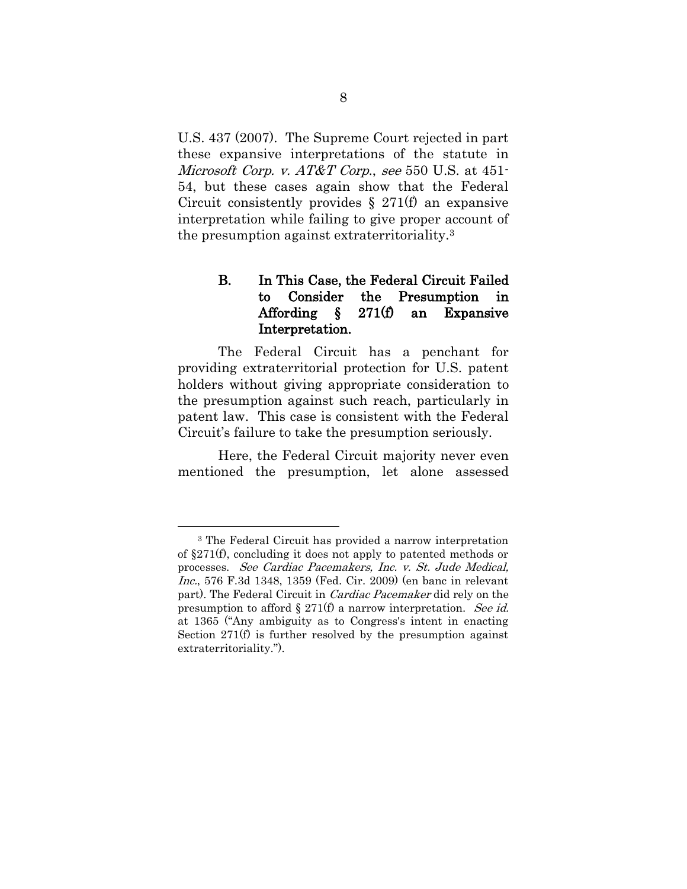U.S. 437 (2007). The Supreme Court rejected in part these expansive interpretations of the statute in Microsoft Corp. v.  $AT\&T$  Corp., see 550 U.S. at 451-54, but these cases again show that the Federal Circuit consistently provides  $\S 271(f)$  an expansive interpretation while failing to give proper account of the presumption against extraterritoriality.<sup>3</sup>

### B. In This Case, the Federal Circuit Failed to Consider the Presumption in Affording § 271(f) an Expansive Interpretation.

The Federal Circuit has a penchant for providing extraterritorial protection for U.S. patent holders without giving appropriate consideration to the presumption against such reach, particularly in patent law. This case is consistent with the Federal Circuit's failure to take the presumption seriously.

Here, the Federal Circuit majority never even mentioned the presumption, let alone assessed

<sup>3</sup> The Federal Circuit has provided a narrow interpretation of §271(f), concluding it does not apply to patented methods or processes. See Cardiac Pacemakers, Inc. v. St. Jude Medical, Inc., 576 F.3d 1348, 1359 (Fed. Cir. 2009) (en banc in relevant part). The Federal Circuit in Cardiac Pacemaker did rely on the presumption to afford  $\S 271(f)$  a narrow interpretation. See id. at 1365 ("Any ambiguity as to Congress's intent in enacting Section 271(f) is further resolved by the presumption against extraterritoriality.").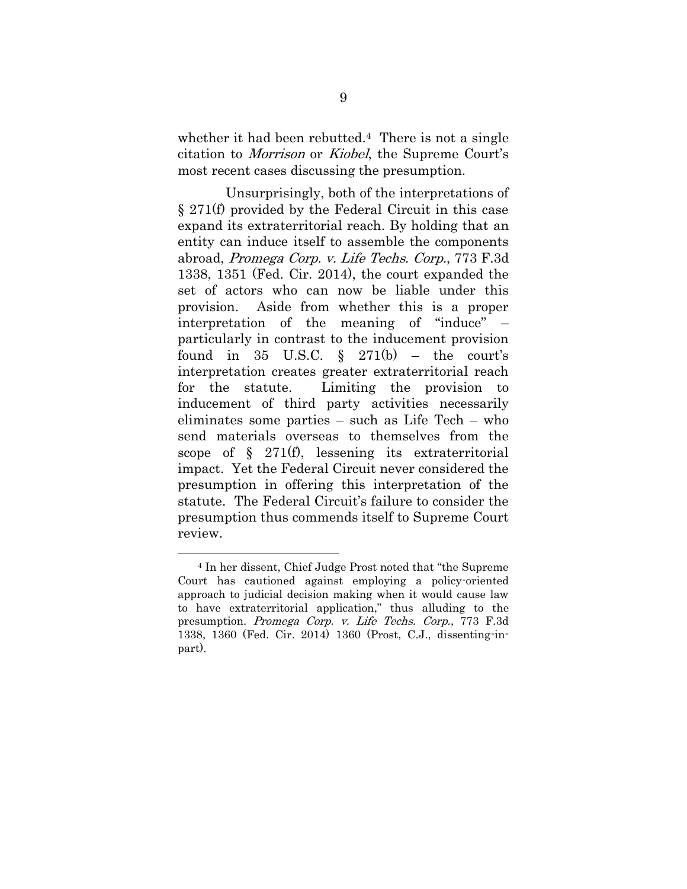whether it had been rebutted.<sup>4</sup> There is not a single citation to Morrison or Kiobel, the Supreme Court's most recent cases discussing the presumption.

 Unsurprisingly, both of the interpretations of § 271(f) provided by the Federal Circuit in this case expand its extraterritorial reach. By holding that an entity can induce itself to assemble the components abroad, Promega Corp. v. Life Techs. Corp., 773 F.3d 1338, 1351 (Fed. Cir. 2014), the court expanded the set of actors who can now be liable under this provision. Aside from whether this is a proper interpretation of the meaning of "induce" – particularly in contrast to the inducement provision found in  $35 \text{ U.S.C. }$   $\S$   $271(b)$  – the court's interpretation creates greater extraterritorial reach for the statute. Limiting the provision to inducement of third party activities necessarily eliminates some parties – such as Life Tech – who send materials overseas to themselves from the scope of  $\S$  271(f), lessening its extraterritorial impact. Yet the Federal Circuit never considered the presumption in offering this interpretation of the statute. The Federal Circuit's failure to consider the presumption thus commends itself to Supreme Court review.

<sup>4</sup> In her dissent, Chief Judge Prost noted that "the Supreme Court has cautioned against employing a policy-oriented approach to judicial decision making when it would cause law to have extraterritorial application," thus alluding to the presumption. Promega Corp. v. Life Techs. Corp., 773 F.3d 1338, 1360 (Fed. Cir. 2014) 1360 (Prost, C.J., dissenting-inpart).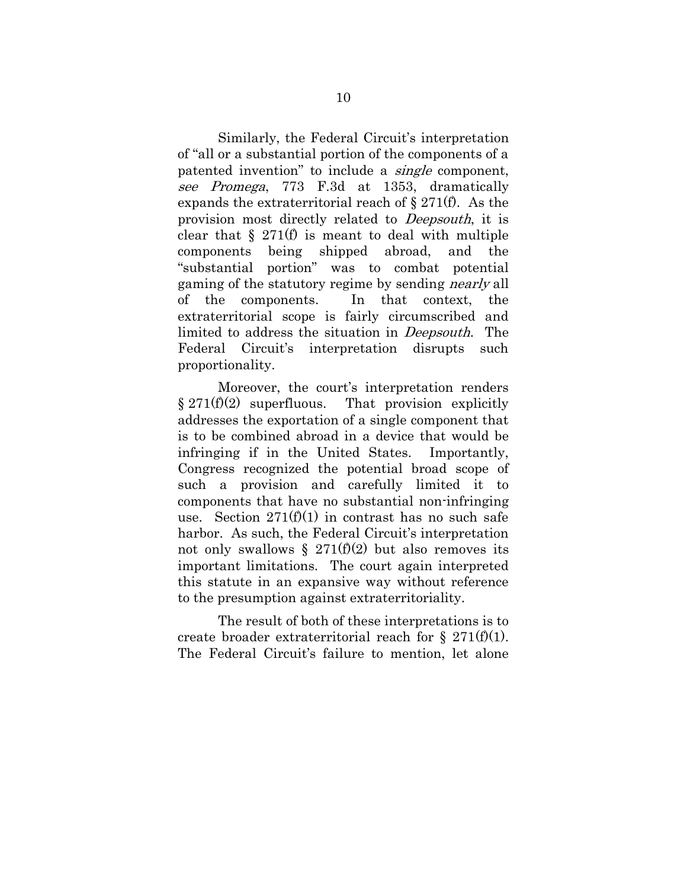Similarly, the Federal Circuit's interpretation of "all or a substantial portion of the components of a patented invention" to include a *single* component, see Promega, 773 F.3d at 1353, dramatically expands the extraterritorial reach of  $\S 271(f)$ . As the provision most directly related to *Deepsouth*, it is clear that  $\S 271(f)$  is meant to deal with multiple components being shipped abroad, and the "substantial portion" was to combat potential gaming of the statutory regime by sending nearly all of the components. In that context, the extraterritorial scope is fairly circumscribed and limited to address the situation in Deepsouth. The Federal Circuit's interpretation disrupts such proportionality.

Moreover, the court's interpretation renders  $§ 271(f)(2)$  superfluous. That provision explicitly addresses the exportation of a single component that is to be combined abroad in a device that would be infringing if in the United States. Importantly, Congress recognized the potential broad scope of such a provision and carefully limited it to components that have no substantial non-infringing use. Section  $271(f)(1)$  in contrast has no such safe harbor. As such, the Federal Circuit's interpretation not only swallows  $\S 271(f)(2)$  but also removes its important limitations. The court again interpreted this statute in an expansive way without reference to the presumption against extraterritoriality.

The result of both of these interpretations is to create broader extraterritorial reach for  $\S 271(f)(1)$ . The Federal Circuit's failure to mention, let alone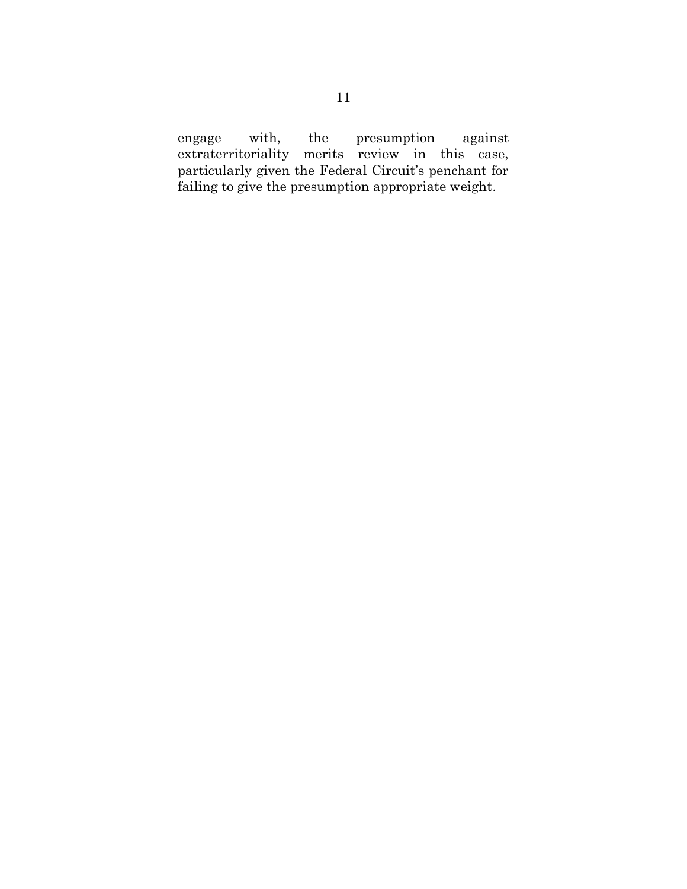engage with, the presumption against extraterritoriality merits review in this case, particularly given the Federal Circuit's penchant for failing to give the presumption appropriate weight.